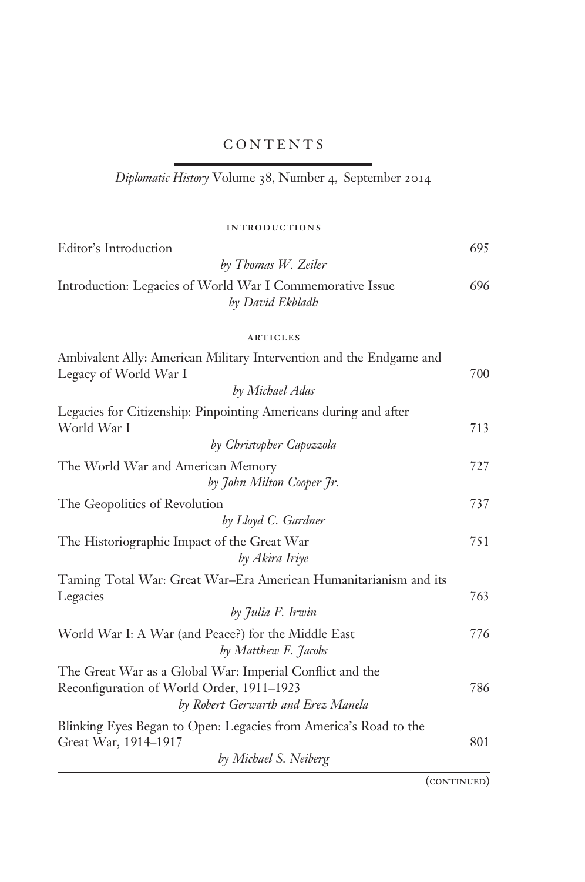Diplomatic History Volume 38, Number 4, September 2014

| INTRODUCTIONS |  |  |
|---------------|--|--|

| Editor's Introduction                                                                                                                       | 695 |
|---------------------------------------------------------------------------------------------------------------------------------------------|-----|
| by Thomas W. Zeiler                                                                                                                         |     |
| Introduction: Legacies of World War I Commemorative Issue<br>by David Ekbladh                                                               | 696 |
| <b>ARTICLES</b>                                                                                                                             |     |
| Ambivalent Ally: American Military Intervention and the Endgame and<br>Legacy of World War I                                                | 700 |
| by Michael Adas                                                                                                                             |     |
| Legacies for Citizenship: Pinpointing Americans during and after<br>World War I                                                             | 713 |
| by Christopher Capozzola                                                                                                                    |     |
| The World War and American Memory<br>by John Milton Cooper 7r.                                                                              | 727 |
| The Geopolitics of Revolution                                                                                                               | 737 |
| by Lloyd C. Gardner                                                                                                                         |     |
| The Historiographic Impact of the Great War<br>by Akira Iriye                                                                               | 751 |
| Taming Total War: Great War-Era American Humanitarianism and its<br>Legacies                                                                | 763 |
| by Julia F. Irwin                                                                                                                           |     |
| World War I: A War (and Peace?) for the Middle East<br>by Matthew F. Jacobs                                                                 | 776 |
| The Great War as a Global War: Imperial Conflict and the<br>Reconfiguration of World Order, 1911-1923<br>by Robert Gerwarth and Erez Manela | 786 |
| Blinking Eyes Began to Open: Legacies from America's Road to the<br>Great War, 1914–1917                                                    | 801 |
| by Michael S. Neiberg                                                                                                                       |     |

 $\overline{(CONTINUED)}$